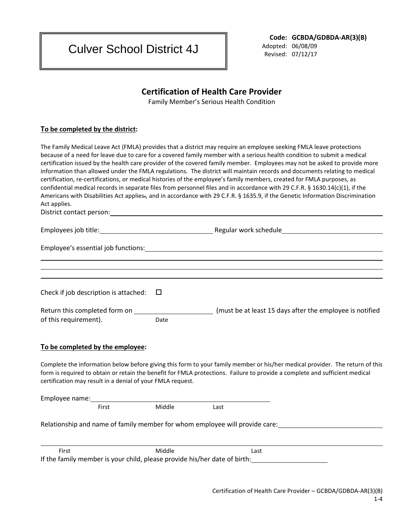Culver School District 4J

**Code: GCBDA/GDBDA-AR(3)(B)**

 Adopted: 06/08/09 Revised: 07/12/17

## **Certification of Health Care Provider**

Family Member's Serious Health Condition

## **To be completed by the district:**

|                                                                                                                                                                                                                                |        | The Family Medical Leave Act (FMLA) provides that a district may require an employee seeking FMLA leave protections<br>because of a need for leave due to care for a covered family member with a serious health condition to submit a medical                                                                                                                                                                                                                                                                                                                                                                                                     |  |
|--------------------------------------------------------------------------------------------------------------------------------------------------------------------------------------------------------------------------------|--------|----------------------------------------------------------------------------------------------------------------------------------------------------------------------------------------------------------------------------------------------------------------------------------------------------------------------------------------------------------------------------------------------------------------------------------------------------------------------------------------------------------------------------------------------------------------------------------------------------------------------------------------------------|--|
| Act applies.                                                                                                                                                                                                                   |        | certification issued by the health care provider of the covered family member. Employees may not be asked to provide more<br>information than allowed under the FMLA regulations. The district will maintain records and documents relating to medical<br>certification, re-certifications, or medical histories of the employee's family members, created for FMLA purposes, as<br>confidential medical records in separate files from personnel files and in accordance with 29 C.F.R. § 1630.14(c)(1), if the<br>Americans with Disabilities Act applies-, and in accordance with 29 C.F.R. § 1635.9, if the Genetic Information Discrimination |  |
| District contact person: National Action of the Contract of the Contract of the Contract of the Contract of the Contract of the Contract of the Contract of the Contract of the Contract of the Contract of the Contract of th |        |                                                                                                                                                                                                                                                                                                                                                                                                                                                                                                                                                                                                                                                    |  |
|                                                                                                                                                                                                                                |        |                                                                                                                                                                                                                                                                                                                                                                                                                                                                                                                                                                                                                                                    |  |
|                                                                                                                                                                                                                                |        |                                                                                                                                                                                                                                                                                                                                                                                                                                                                                                                                                                                                                                                    |  |
|                                                                                                                                                                                                                                |        |                                                                                                                                                                                                                                                                                                                                                                                                                                                                                                                                                                                                                                                    |  |
| Check if job description is attached:                                                                                                                                                                                          | Ц      |                                                                                                                                                                                                                                                                                                                                                                                                                                                                                                                                                                                                                                                    |  |
| Return this completed form on ____<br>of this requirement).                                                                                                                                                                    | Date   | (must be at least 15 days after the employee is notified                                                                                                                                                                                                                                                                                                                                                                                                                                                                                                                                                                                           |  |
| To be completed by the employee:                                                                                                                                                                                               |        |                                                                                                                                                                                                                                                                                                                                                                                                                                                                                                                                                                                                                                                    |  |
| certification may result in a denial of your FMLA request.                                                                                                                                                                     |        | Complete the information below before giving this form to your family member or his/her medical provider. The return of this<br>form is required to obtain or retain the benefit for FMLA protections. Failure to provide a complete and sufficient medical                                                                                                                                                                                                                                                                                                                                                                                        |  |
|                                                                                                                                                                                                                                |        |                                                                                                                                                                                                                                                                                                                                                                                                                                                                                                                                                                                                                                                    |  |
| First                                                                                                                                                                                                                          | Middle | Last                                                                                                                                                                                                                                                                                                                                                                                                                                                                                                                                                                                                                                               |  |
| Relationship and name of family member for whom employee will provide care:                                                                                                                                                    |        |                                                                                                                                                                                                                                                                                                                                                                                                                                                                                                                                                                                                                                                    |  |
| First                                                                                                                                                                                                                          | Middle | Last                                                                                                                                                                                                                                                                                                                                                                                                                                                                                                                                                                                                                                               |  |
| If the family member is your child, please provide his/her date of birth:                                                                                                                                                      |        |                                                                                                                                                                                                                                                                                                                                                                                                                                                                                                                                                                                                                                                    |  |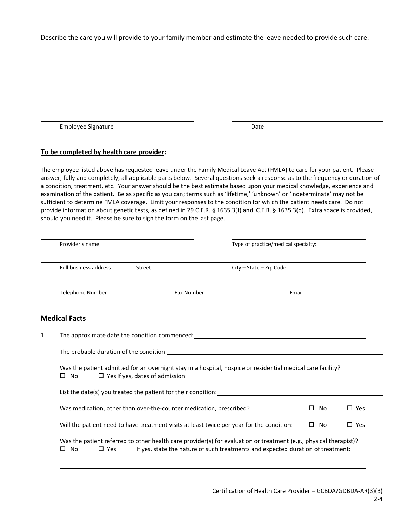Describe the care you will provide to your family member and estimate the leave needed to provide such care:

| <b>Employee Signature</b>                                                                                                                                                                                                                                                                                                                                                                                                                                                                                                                                                                                                                                                                                                                                                                                                                           |            | Date                                                                            |              |               |
|-----------------------------------------------------------------------------------------------------------------------------------------------------------------------------------------------------------------------------------------------------------------------------------------------------------------------------------------------------------------------------------------------------------------------------------------------------------------------------------------------------------------------------------------------------------------------------------------------------------------------------------------------------------------------------------------------------------------------------------------------------------------------------------------------------------------------------------------------------|------------|---------------------------------------------------------------------------------|--------------|---------------|
| To be completed by health care provider:                                                                                                                                                                                                                                                                                                                                                                                                                                                                                                                                                                                                                                                                                                                                                                                                            |            |                                                                                 |              |               |
| The employee listed above has requested leave under the Family Medical Leave Act (FMLA) to care for your patient. Please<br>answer, fully and completely, all applicable parts below. Several questions seek a response as to the frequency or duration of<br>a condition, treatment, etc. Your answer should be the best estimate based upon your medical knowledge, experience and<br>examination of the patient. Be as specific as you can; terms such as 'lifetime,' 'unknown' or 'indeterminate' may not be<br>sufficient to determine FMLA coverage. Limit your responses to the condition for which the patient needs care. Do not<br>provide information about genetic tests, as defined in 29 C.F.R. § 1635.3(f) and C.F.R. § 1635.3(b). Extra space is provided,<br>should you need it. Please be sure to sign the form on the last page. |            |                                                                                 |              |               |
| Provider's name                                                                                                                                                                                                                                                                                                                                                                                                                                                                                                                                                                                                                                                                                                                                                                                                                                     |            | Type of practice/medical specialty:                                             |              |               |
| Full business address -                                                                                                                                                                                                                                                                                                                                                                                                                                                                                                                                                                                                                                                                                                                                                                                                                             | Street     | City - State - Zip Code                                                         |              |               |
| Telephone Number                                                                                                                                                                                                                                                                                                                                                                                                                                                                                                                                                                                                                                                                                                                                                                                                                                    | Fax Number | Email                                                                           |              |               |
| <b>Medical Facts</b>                                                                                                                                                                                                                                                                                                                                                                                                                                                                                                                                                                                                                                                                                                                                                                                                                                |            |                                                                                 |              |               |
| The approximate date the condition commenced: __________________________________                                                                                                                                                                                                                                                                                                                                                                                                                                                                                                                                                                                                                                                                                                                                                                    |            |                                                                                 |              |               |
| The probable duration of the condition: example and the probable duration of the condition:                                                                                                                                                                                                                                                                                                                                                                                                                                                                                                                                                                                                                                                                                                                                                         |            |                                                                                 |              |               |
| Was the patient admitted for an overnight stay in a hospital, hospice or residential medical care facility?<br>$\square$ No                                                                                                                                                                                                                                                                                                                                                                                                                                                                                                                                                                                                                                                                                                                         |            |                                                                                 |              |               |
| List the date(s) you treated the patient for their condition: Late and the date of the state of the state of the state of the state of the state of the state of the state of the state of the state of the state of the state                                                                                                                                                                                                                                                                                                                                                                                                                                                                                                                                                                                                                      |            |                                                                                 |              |               |
| Was medication, other than over-the-counter medication, prescribed?                                                                                                                                                                                                                                                                                                                                                                                                                                                                                                                                                                                                                                                                                                                                                                                 |            |                                                                                 | $\square$ No | $\square$ Yes |
| Will the patient need to have treatment visits at least twice per year for the condition:                                                                                                                                                                                                                                                                                                                                                                                                                                                                                                                                                                                                                                                                                                                                                           |            |                                                                                 | $\square$ No | $\square$ Yes |
| Was the patient referred to other health care provider(s) for evaluation or treatment (e.g., physical therapist)?<br>$\square$ No<br>$\square$ Yes                                                                                                                                                                                                                                                                                                                                                                                                                                                                                                                                                                                                                                                                                                  |            | If yes, state the nature of such treatments and expected duration of treatment: |              |               |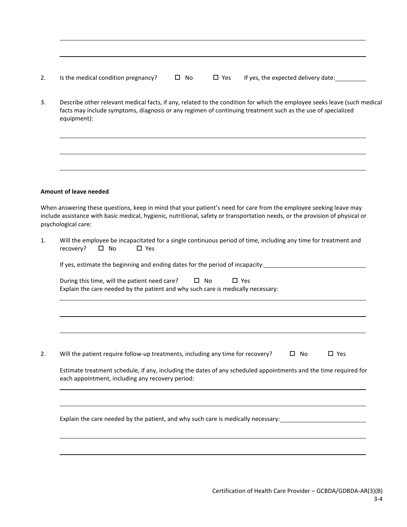| z. | Is the medical condition pregnancy? |  |  |  |
|----|-------------------------------------|--|--|--|
|----|-------------------------------------|--|--|--|

3. Describe other relevant medical facts, if any, related to the condition for which the employee seeks leave (such medical facts may include symptoms, diagnosis or any regimen of continuing treatment such as the use of specialized equipment):

## **Amount of leave needed**

When answering these questions, keep in mind that your patient's need for care from the employee seeking leave may include assistance with basic medical, hygienic, nutritional, safety or transportation needs, or the provision of physical or psychological care:

|                | Will the employee be incapacitated for a single continuous period of time, including any time for treatment and |
|----------------|-----------------------------------------------------------------------------------------------------------------|
| recovery? □ No | □ Yes                                                                                                           |

| If yes, estimate the beginning and ending dates for the period of incapacity: |  |
|-------------------------------------------------------------------------------|--|
|                                                                               |  |

| During this time, will the patient need care?                                    | □ No | $\Box$ Yes |  |
|----------------------------------------------------------------------------------|------|------------|--|
| Explain the care needed by the patient and why such care is medically necessary: |      |            |  |

2. Will the patient require follow-up treatments, including any time for recovery?  $\Box$  No  $\Box$  Yes

| Estimate treatment schedule, if any, including the dates of any scheduled appointments and the time required for |
|------------------------------------------------------------------------------------------------------------------|
| each appointment, including any recovery period:                                                                 |

Explain the care needed by the patient, and why such care is medically necessary: